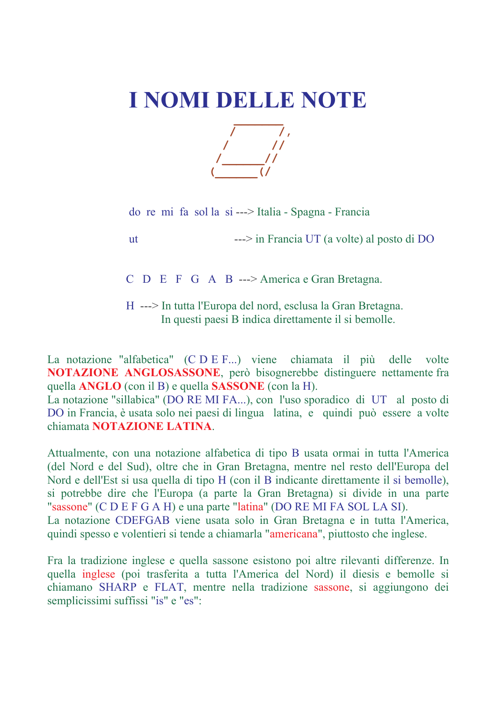## I NOMI DELLE NOTE



do re mi fa sol la si ---> Italia - Spagna - Francia

 $ut$ 

 $\rightarrow$  in Francia UT (a volte) al posto di DO

 $C$  D E F G A B ---> America e Gran Bretagna.

H ---> In tutta l'Europa del nord, esclusa la Gran Bretagna. In questi paesi B indica direttamente il si bemolle.

La notazione "alfabetica" (C D E F...) viene chiamata il più delle volte **NOTAZIONE ANGLOSASSONE**, però bisognerebbe distinguere nettamente fra quella ANGLO (con il B) e quella SASSONE (con la H).

La notazione "sillabica" (DO RE MI FA...), con l'uso sporadico di UT al posto di DO in Francia, è usata solo nei paesi di lingua latina, e quindi può essere a volte chiamata NOTAZIONE LATINA.

Attualmente, con una notazione alfabetica di tipo B usata ormai in tutta l'America (del Nord e del Sud), oltre che in Gran Bretagna, mentre nel resto dell'Europa del Nord e dell'Est si usa quella di tipo H (con il B indicante direttamente il si bemolle), si potrebbe dire che l'Europa (a parte la Gran Bretagna) si divide in una parte "sassone" (C D E F G A H) e una parte "latina" (DO RE MI FA SOL LA SI). La notazione CDEFGAB viene usata solo in Gran Bretagna e in tutta l'America, quindi spesso e volentieri si tende a chiamarla "americana", piuttosto che inglese.

Fra la tradizione inglese e quella sassone esistono poi altre rilevanti differenze. In quella inglese (poi trasferita a tutta l'America del Nord) il diesis e bemolle si chiamano SHARP e FLAT, mentre nella tradizione sassone, si aggiungono dei semplicissimi suffissi "is" e "es":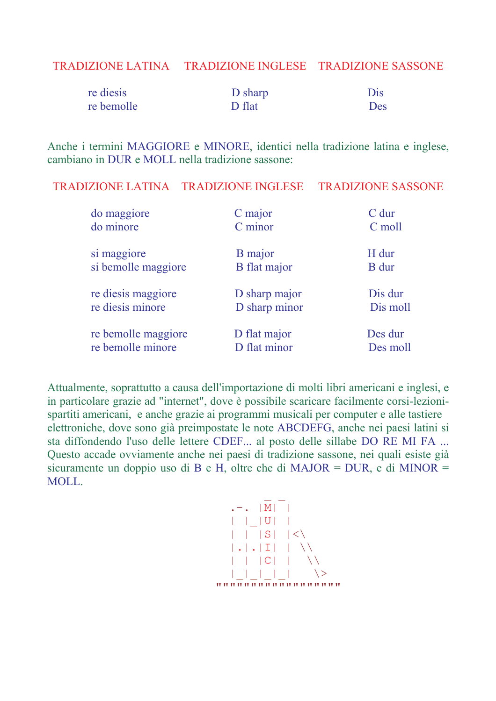## TRADIZIONE LATINA TRADIZIONE INGLESE TRADIZIONE SASSONE

| re diesis  | D sharp | Dis |
|------------|---------|-----|
| re bemolle | D flat  | Des |

Anche i termini MAGGIORE e MINORE, identici nella tradizione latina e inglese, cambiano in DUR e MOLL nella tradizione sassone:

TRADIZIONE LATINA TRADIZIONE INGLESE **TRADIZIONE SASSONE** 

| do maggiore         | C major             | $C$ dur      |
|---------------------|---------------------|--------------|
| do minore           | C minor             | C moll       |
| si maggiore         | <b>B</b> major      | H dur        |
| si bemolle maggiore | <b>B</b> flat major | <b>B</b> dur |
| re diesis maggiore  | D sharp major       | Dis dur      |
| re diesis minore    | D sharp minor       | Dis moll     |
| re bemolle maggiore | D flat major        | Des dur      |
| re bemolle minore   | D flat minor        | Des moll     |

Attualmente, soprattutto a causa dell'importazione di molti libri americani e inglesi, e in particolare grazie ad "internet", dove è possibile scaricare facilmente corsi-lezionispartiti americani, e anche grazie ai programmi musicali per computer e alle tastiere elettroniche, dove sono già preimpostate le note ABCDEFG, anche nei paesi latini si sta diffondendo l'uso delle lettere CDEF... al posto delle sillabe DO RE MI FA ... Questo accade ovviamente anche nei paesi di tradizione sassone, nei quali esiste già sicuramente un doppio uso di B e H, oltre che di MAJOR = DUR, e di MINOR = **MOLL** 

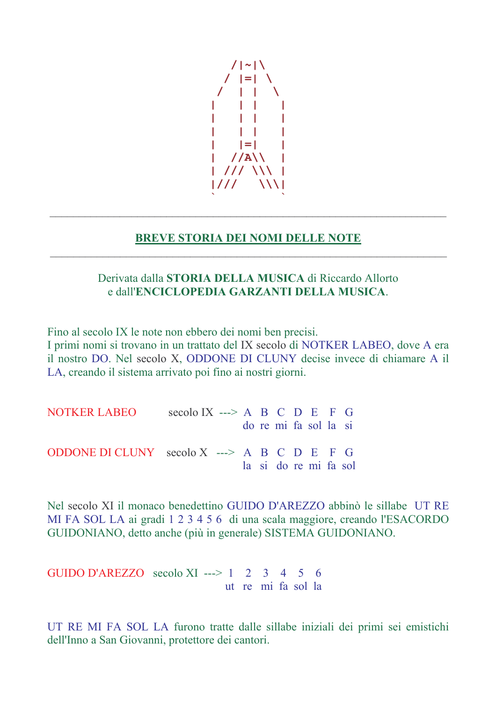

## **BREVE STORIA DEI NOMI DELLE NOTE**

## Derivata dalla **STORIA DELLA MUSICA** di Riccardo Allorto e dall'ENCICLOPEDIA GARZANTI DELLA MUSICA.

Fino al secolo IX le note non ebbero dei nomi ben precisi. I primi nomi si trovano in un trattato del IX secolo di NOTKER LABEO, dove A era il nostro DO. Nel secolo X, ODDONE DI CLUNY decise invece di chiamare A il LA, creando il sistema arrivato poi fino ai nostri giorni.

NOTKER LABEO secolo IX ---> A B C D E F G do re mi fa sol la si ODDONE DI CLUNY secolo  $X \rightarrow \rightarrow A B C D E F G$ la si do re mi fa sol

Nel secolo XI il monaco benedettino GUIDO D'AREZZO abbinò le sillabe UT RE MI FA SOL LA ai gradi 1 2 3 4 5 6 di una scala maggiore, creando l'ESACORDO GUIDONIANO, detto anche (più in generale) SISTEMA GUIDONIANO.

GUIDO D'AREZZO secolo XI ---> 1 2 3 4 5 6 ut re mi fa sol la

UT RE MI FA SOL LA furono tratte dalle sillabe iniziali dei primi sei emistichi dell'Inno a San Giovanni, protettore dei cantori.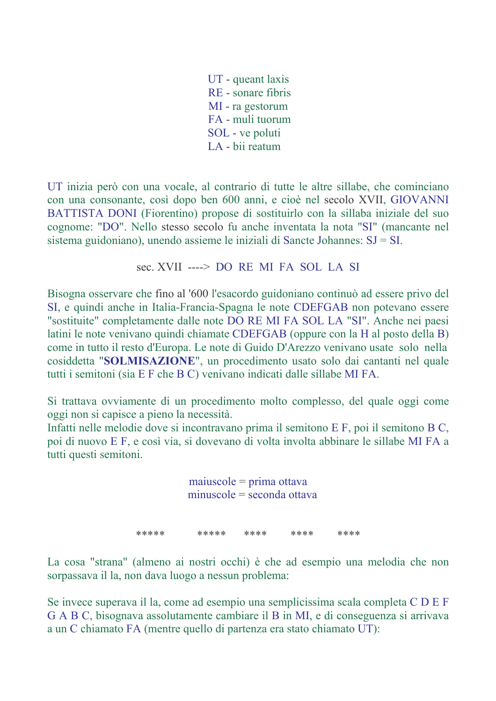UT - queant laxis RE - sonare fibris MI - ra gestorum FA - muli tuorum SOL - ve poluti LA - bij reatum

UT inizia però con una vocale, al contrario di tutte le altre sillabe, che cominciano con una consonante, così dopo ben 600 anni, e cioè nel secolo XVII, GIOVANNI BATTISTA DONI (Fiorentino) propose di sostituirlo con la sillaba iniziale del suo cognome: "DO". Nello stesso secolo fu anche inventata la nota "SI" (mancante nel sistema guidoniano), unendo assieme le iniziali di Sancte Johannes:  $SJ = SI$ .

sec. XVII ----> DO RE MI FA SOL LA SI

Bisogna osservare che fino al '600 l'esacordo guidoniano continuò ad essere privo del SI, e quindi anche in Italia-Francia-Spagna le note CDEFGAB non potevano essere "sostituite" completamente dalle note DO RE MI FA SOL LA "SI". Anche nei paesi latini le note venivano quindi chiamate CDEFGAB (oppure con la H al posto della B) come in tutto il resto d'Europa. Le note di Guido D'Arezzo venivano usate solo nella cosiddetta "SOLMISAZIONE", un procedimento usato solo dai cantanti nel quale tutti i semitoni (sia E F che B C) venivano indicati dalle sillabe MI FA.

Si trattava ovviamente di un procedimento molto complesso, del quale oggi come oggi non si capisce a pieno la necessità.

Infatti nelle melodie dove si incontravano prima il semitono E F, poi il semitono B C, poi di nuovo E F, e così via, si dovevano di volta involta abbinare le sillabe MI FA a tutti questi semitoni.

> $maiuscole = prima ottava$  $minuscole = seconda ottava$

\*\*\*\*\* \*\*\*\* \*\*\*\*\* \*\*\*\* \*\*\*\*

La cosa "strana" (almeno ai nostri occhi) è che ad esempio una melodia che non sorpassava il la, non dava luogo a nessun problema:

Se invece superava il la, come ad esempio una semplicissima scala completa C D E F G A B C, bisognava assolutamente cambiare il B in MI, e di conseguenza si arrivava a un C chiamato FA (mentre quello di partenza era stato chiamato UT):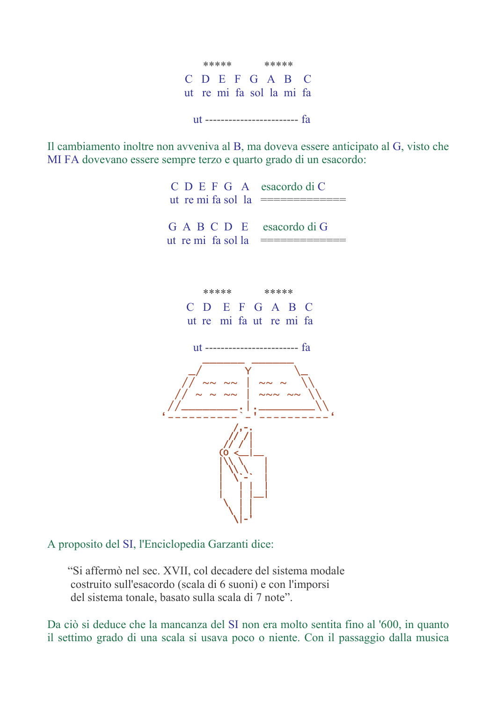

Il cambiamento inoltre non avveniva al B, ma doveva essere anticipato al G, visto che MI FA dovevano essere sempre terzo e quarto grado di un esacordo:

> $C$  D E F G A esacordo di C GABCDE esacordo di G ut re mi fa sol la





A proposito del SI, l'Enciclopedia Garzanti dice:

"Si affermò nel sec. XVII, col decadere del sistema modale costruito sull'esacordo (scala di 6 suoni) e con l'imporsi del sistema tonale, basato sulla scala di 7 note".

Da ciò si deduce che la mancanza del SI non era molto sentita fino al '600, in quanto il settimo grado di una scala si usava poco o niente. Con il passaggio dalla musica